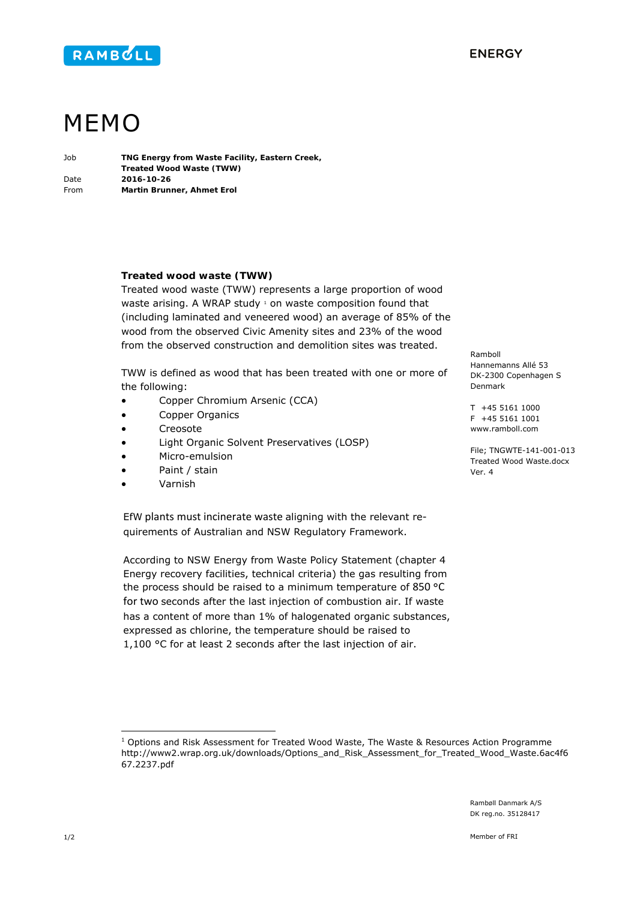

## MEMO

| Job  | TNG Energy from Waste Facility, Eastern Creek,<br>Treated Wood Waste (TWW) |
|------|----------------------------------------------------------------------------|
| Date | 2016-10-26                                                                 |
| From | Martin Brunner, Ahmet Erol                                                 |

## **Treated wood waste (TWW)**

Treated wood waste (TWW) represents a large proportion of wood waste arising. A WRAP study  $1$  on waste composition found that (including laminated and veneered wood) an average of 85% of the wood from the observed Civic Amenity sites and 23% of the wood from the observed construction and demolition sites was treated.

TWW is defined as wood that has been treated with one or more of the following:

- Copper Chromium Arsenic (CCA)
- Copper Organics
- Creosote
- Light Organic Solvent Preservatives (LOSP)
- Micro-emulsion
- Paint / stain
- Varnish

EfW plants must incinerate waste aligning with the relevant requirements of Australian and NSW Regulatory Framework.

According to NSW Energy from Waste Policy Statement (chapter 4 Energy recovery facilities, technical criteria) the gas resulting from the process should be raised to a minimum temperature of 850 °C for two seconds after the last injection of combustion air. If waste has a content of more than 1% of halogenated organic substances, expressed as chlorine, the temperature should be raised to 1,100 °C for at least 2 seconds after the last injection of air.

Ramboll Hannemanns Allé 53 DK-2300 Copenhagen S Denmark

T +45 5161 1000  $F + 4551611001$ www.ramboll.com

File; TNGWTE-141-001-013 Treated Wood Waste.docx Ver. 4

ł

<sup>&</sup>lt;sup>1</sup> Options and Risk Assessment for Treated Wood Waste, The Waste & Resources Action Programme http://www2.wrap.org.uk/downloads/Options\_and\_Risk\_Assessment\_for\_Treated\_Wood\_Waste.6ac4f6 67.2237.pdf